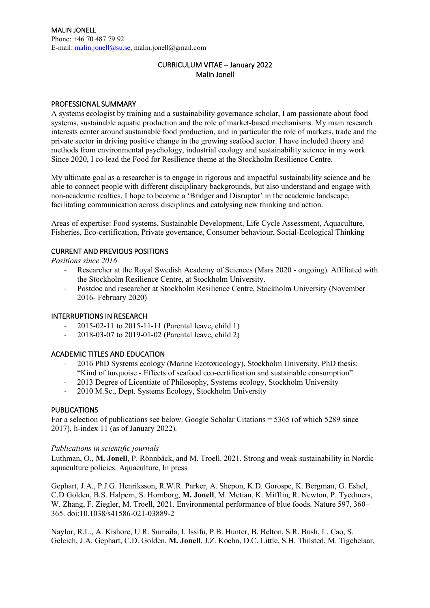# CURRICULUM VITAE – January 2022 Malin Jonell

### PROFESSIONAL SUMMARY

A systems ecologist by training and a sustainability governance scholar, I am passionate about food systems, sustainable aquatic production and the role of market-based mechanisms. My main research interests center around sustainable food production, and in particular the role of markets, trade and the private sector in driving positive change in the growing seafood sector. I have included theory and methods from environmental psychology, industrial ecology and sustainability science in my work. Since 2020, I co-lead the Food for Resilience theme at the Stockholm Resilience Centre.

My ultimate goal as a researcher is to engage in rigorous and impactful sustainability science and be able to connect people with different disciplinary backgrounds, but also understand and engage with non-academic realties. I hope to become a 'Bridger and Disruptor' in the academic landscape, facilitating communication across disciplines and catalysing new thinking and action.

Areas of expertise: Food systems, Sustainable Development, Life Cycle Assessment, Aquaculture, Fisheries, Eco-certification, Private governance, Consumer behaviour, Social-Ecological Thinking

### CURRENT AND PREVIOUS POSITIONS

*Positions since 2016*

- Researcher at the Royal Swedish Academy of Sciences (Mars 2020 ongoing). Affiliated with the Stockholm Resilience Centre, at Stockholm University.
- Postdoc and researcher at Stockholm Resilience Centre, Stockholm University (November 2016- February 2020)

#### INTERRUPTIONS IN RESEARCH

- 2015-02-11 to 2015-11-11 (Parental leave, child 1)
- 2018-03-07 to 2019-01-02 (Parental leave, child 2)

#### ACADEMIC TITLES AND EDUCATION

- 2016 PhD Systems ecology (Marine Ecotoxicology), Stockholm University. PhD thesis: "Kind of turquoise - Effects of seafood eco-certification and sustainable consumption"
- 2013 Degree of Licentiate of Philosophy, Systems ecology, Stockholm University
- 2010 M.Sc., Dept. Systems Ecology, Stockholm University

#### PUBLICATIONS

For a selection of publications see below. Google Scholar Citations = 5365 (of which 5289 since 2017), h-index 11 (as of January 2022).

#### *Publications in scientific journals*

Luthman, O., **M. Jonell**, P. Rönnbäck, and M. Troell. 2021. Strong and weak sustainability in Nordic aquaculture policies. Aquaculture, In press

Gephart, J.A., P.J.G. Henriksson, R.W.R. Parker, A. Shepon, K.D. Gorospe, K. Bergman, G. Eshel, C.D Golden, B.S. Halpern, S. Hornborg, **M. Jonell**, M. Metian, K. Mifflin, R. Newton, P. Tyedmers, W. Zhang, F. Ziegler, M. Troell, 2021. Environmental performance of blue foods. Nature 597, 360– 365. doi:10.1038/s41586-021-03889-2

Naylor, R.L., A. Kishore, U.R. Sumaila, I. Issifu, P.B. Hunter, B. Belton, S.R. Bush, L. Cao, S. Gelcich, J.A. Gephart, C.D. Golden, **M. Jonell**, J.Z. Koehn, D.C. Little, S.H. Thilsted, M. Tigchelaar,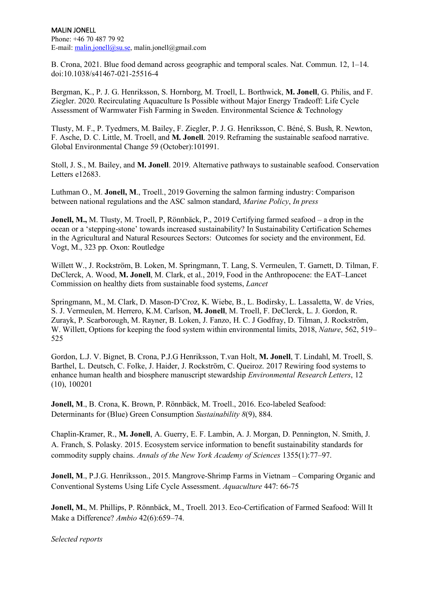#### MALIN JONELL Phone: +46 70 487 79 92 E-mail: malin.jonell@su.se, malin.jonell@gmail.com

B. Crona, 2021. Blue food demand across geographic and temporal scales. Nat. Commun. 12, 1–14. doi:10.1038/s41467-021-25516-4

Bergman, K., P. J. G. Henriksson, S. Hornborg, M. Troell, L. Borthwick, **M. Jonell**, G. Philis, and F. Ziegler. 2020. Recirculating Aquaculture Is Possible without Major Energy Tradeoff: Life Cycle Assessment of Warmwater Fish Farming in Sweden. Environmental Science & Technology

Tlusty, M. F., P. Tyedmers, M. Bailey, F. Ziegler, P. J. G. Henriksson, C. Béné, S. Bush, R. Newton, F. Asche, D. C. Little, M. Troell, and **M. Jonell**. 2019. Reframing the sustainable seafood narrative. Global Environmental Change 59 (October):101991.

Stoll, J. S., M. Bailey, and **M. Jonell**. 2019. Alternative pathways to sustainable seafood. Conservation Letters e12683.

Luthman O., M. **Jonell, M**., Troell., 2019 Governing the salmon farming industry: Comparison between national regulations and the ASC salmon standard, *Marine Policy*, *In press*

**Jonell, M., M.** Tlusty, M. Troell, P. Rönnbäck, P., 2019 Certifying farmed seafood – a drop in the ocean or a 'stepping-stone' towards increased sustainability? In Sustainability Certification Schemes in the Agricultural and Natural Resources Sectors: Outcomes for society and the environment, Ed. Vogt, M., 323 pp. Oxon: Routledge

Willett W., J. Rockström, B. Loken, M. Springmann, T. Lang, S. Vermeulen, T. Garnett, D. Tilman, F. DeClerck, A. Wood, **M. Jonell**, M. Clark, et al., 2019, Food in the Anthropocene: the EAT–Lancet Commission on healthy diets from sustainable food systems, *Lancet*

Springmann, M., M. Clark, D. Mason-D'Croz, K. Wiebe, B., L. Bodirsky, L. Lassaletta, W. de Vries, S. J. Vermeulen, M. Herrero, K.M. Carlson, **M. Jonell**, M. Troell, F. DeClerck, L. J. Gordon, R. Zurayk, P. Scarborough, M. Rayner, B. Loken, J. Fanzo, H. C. J Godfray, D. Tilman, J. Rockström, W. Willett, Options for keeping the food system within environmental limits, 2018, *Nature*, 562, 519– 525

Gordon, L.J. V. Bignet, B. Crona, P.J.G Henriksson, T.van Holt, **M. Jonell**, T. Lindahl, M. Troell, S. Barthel, L. Deutsch, C. Folke, J. Haider, J. Rockström, C. Queiroz. 2017 Rewiring food systems to enhance human health and biosphere manuscript stewardship *Environmental Research Letters*, 12 (10), 100201

**Jonell, M**., B. Crona, K. Brown, P. Rönnbäck, M. Troell., 2016. Eco-labeled Seafood: Determinants for (Blue) Green Consumption *Sustainability 8*(9), 884.

Chaplin-Kramer, R., **M. Jonell**, A. Guerry, E. F. Lambin, A. J. Morgan, D. Pennington, N. Smith, J. A. Franch, S. Polasky. 2015. Ecosystem service information to benefit sustainability standards for commodity supply chains. *Annals of the New York Academy of Sciences* 1355(1):77–97.

**Jonell, M., P.J.G. Henriksson., 2015. Mangrove-Shrimp Farms in Vietnam – Comparing Organic and** Conventional Systems Using Life Cycle Assessment. *Aquaculture* 447: 66-75

**Jonell, M.**, M. Phillips, P. Rönnbäck, M., Troell. 2013. Eco-Certification of Farmed Seafood: Will It Make a Difference? *Ambio* 42(6):659–74.

*Selected reports*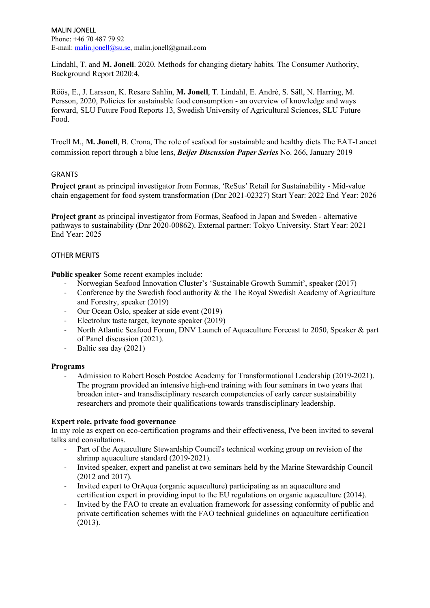MALIN JONELL Phone: +46 70 487 79 92 E-mail: malin.jonell@su.se, malin.jonell@gmail.com

Lindahl, T. and **M. Jonell**. 2020. Methods for changing dietary habits. The Consumer Authority, Background Report 2020:4.

Röös, E., J. Larsson, K. Resare Sahlin, **M. Jonell**, T. Lindahl, E. André, S. Säll, N. Harring, M. Persson, 2020, Policies for sustainable food consumption - an overview of knowledge and ways forward, SLU Future Food Reports 13, Swedish University of Agricultural Sciences, SLU Future Food.

Troell M., **M. Jonell**, B. Crona, The role of seafood for sustainable and healthy diets The EAT-Lancet commission report through a blue lens, *Beijer Discussion Paper Series* No. 266, January 2019

#### GRANTS

**Project grant** as principal investigator from Formas, 'ReSus' Retail for Sustainability - Mid-value chain engagement for food system transformation (Dnr 2021-02327) Start Year: 2022 End Year: 2026

**Project grant** as principal investigator from Formas, Seafood in Japan and Sweden - alternative pathways to sustainability (Dnr 2020-00862). External partner: Tokyo University. Start Year: 2021 End Year: 2025

## OTHER MERITS

**Public speaker** Some recent examples include:

- Norwegian Seafood Innovation Cluster's 'Sustainable Growth Summit', speaker (2017)
- Conference by the Swedish food authority & the The Royal Swedish Academy of Agriculture and Forestry, speaker (2019)
- Our Ocean Oslo, speaker at side event (2019)
- Electrolux taste target, keynote speaker (2019)
- North Atlantic Seafood Forum, DNV Launch of Aquaculture Forecast to 2050, Speaker & part of Panel discussion (2021).
- Baltic sea day (2021)

#### **Programs**

Admission to Robert Bosch Postdoc Academy for Transformational Leadership (2019-2021). The program provided an intensive high-end training with four seminars in two years that broaden inter- and transdisciplinary research competencies of early career sustainability researchers and promote their qualifications towards transdisciplinary leadership.

#### **Expert role, private food governance**

In my role as expert on eco-certification programs and their effectiveness, I've been invited to several talks and consultations.

- Part of the Aquaculture Stewardship Council's technical working group on revision of the shrimp aquaculture standard (2019-2021).
- Invited speaker, expert and panelist at two seminars held by the Marine Stewardship Council (2012 and 2017).
- Invited expert to OrAqua (organic aquaculture) participating as an aquaculture and certification expert in providing input to the EU regulations on organic aquaculture (2014).
- Invited by the FAO to create an evaluation framework for assessing conformity of public and private certification schemes with the FAO technical guidelines on aquaculture certification (2013).